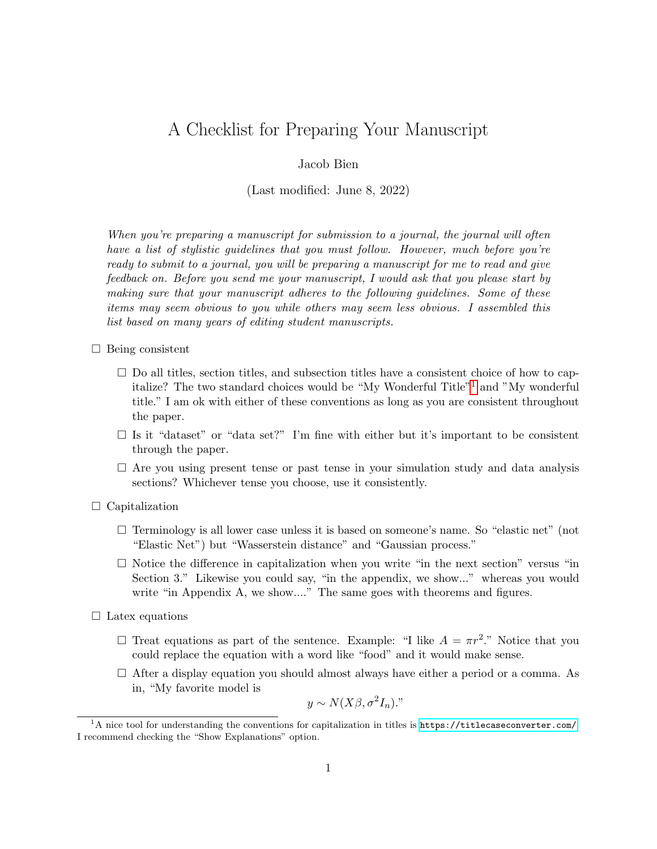## A Checklist for Preparing Your Manuscript

Jacob Bien

(Last modified: June 8, 2022)

When you're preparing a manuscript for submission to a journal, the journal will often have a list of stylistic guidelines that you must follow. However, much before you're ready to submit to a journal, you will be preparing a manuscript for me to read and give feedback on. Before you send me your manuscript, I would ask that you please start by making sure that your manuscript adheres to the following guidelines. Some of these items may seem obvious to you while others may seem less obvious. I assembled this list based on many years of editing student manuscripts.

- $\Box$  Being consistent
	- $\square$  Do all titles, section titles, and subsection titles have a consistent choice of how to capitalize? The two standard choices would be "My Wonderful Title"[1](#page-0-0) and "My wonderful title." I am ok with either of these conventions as long as you are consistent throughout the paper.
	- $\square$  Is it "dataset" or "data set?" I'm fine with either but it's important to be consistent through the paper.
	- $\Box$  Are you using present tense or past tense in your simulation study and data analysis sections? Whichever tense you choose, use it consistently.

 $\Box$  Capitalization

- $\Box$  Terminology is all lower case unless it is based on someone's name. So "elastic net" (not "Elastic Net") but "Wasserstein distance" and "Gaussian process."
- $\square$  Notice the difference in capitalization when you write "in the next section" versus "in Section 3." Likewise you could say, "in the appendix, we show..." whereas you would write "in Appendix A, we show...." The same goes with theorems and figures.
- $\Box$  Latex equations
	- $\Box$  Treat equations as part of the sentence. Example: "I like  $A = \pi r^2$ ." Notice that you could replace the equation with a word like "food" and it would make sense.
	- $\Box$  After a display equation you should almost always have either a period or a comma. As in, "My favorite model is

$$
y \sim N(X\beta, \sigma^2 I_n)
$$

<span id="page-0-0"></span> $1A$  nice tool for understanding the conventions for capitalization in titles is  $https://titlecaseconverter.com/.$  $https://titlecaseconverter.com/.$ I recommend checking the "Show Explanations" option.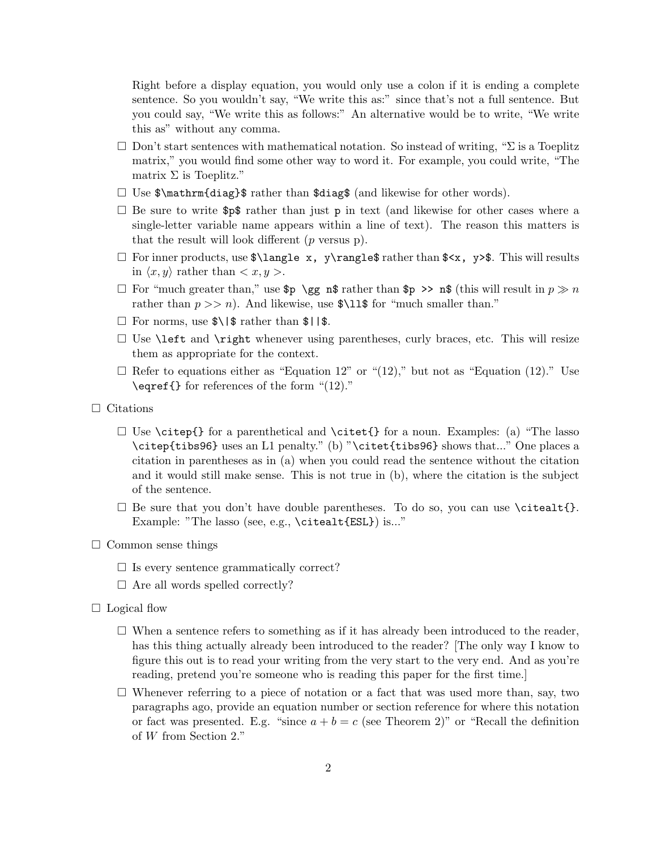Right before a display equation, you would only use a colon if it is ending a complete sentence. So you wouldn't say, "We write this as:" since that's not a full sentence. But you could say, "We write this as follows:" An alternative would be to write, "We write this as" without any comma.

- $\Box$  Don't start sentences with mathematical notation. So instead of writing, " $\Sigma$  is a Toeplitz matrix," you would find some other way to word it. For example, you could write, "The matrix  $\Sigma$  is Toeplitz."
- $\Box$  Use  $\mathcal{L}$  \mathrm{diag}\$ rather than \$diag\$ (and likewise for other words).
- $\Box$  Be sure to write \$p\$ rather than just p in text (and likewise for other cases where a single-letter variable name appears within a line of text). The reason this matters is that the result will look different  $(p \text{ versus } p)$ .
- $\Box$  For inner products, use  $\land \Box$  x,  $\lor \Box$  rangle  $\land$  rather than  $\land \lor$ ,  $\lor \lor$ . This will results in  $\langle x, y \rangle$  rather than  $\langle x, y \rangle$ .
- $\Box$  For "much greater than," use  $\wp \gtrsim \wp$  n\$ rather than  $\wp \gg \wp$  n\$ (this will result in  $p \gg n$ rather than  $p \gg n$ . And likewise, use \$\11\$ for "much smaller than."
- $\Box$  For norms, use  $\ell\$   $\sharp$  rather than  $\ell\$
- $\Box$  Use **\left** and **\right** whenever using parentheses, curly braces, etc. This will resize them as appropriate for the context.
- $\Box$  Refer to equations either as "Equation 12" or "(12)," but not as "Equation (12)." Use \eqref{} for references of the form "(12)."
- $\hfill\Box$ <br> <br> Citations
	- $\square$  Use \citep{} for a parenthetical and \citet{} for a noun. Examples: (a) "The lasso \citep{tibs96} uses an L1 penalty." (b) "\citet{tibs96} shows that..." One places a citation in parentheses as in (a) when you could read the sentence without the citation and it would still make sense. This is not true in (b), where the citation is the subject of the sentence.
	- $\Box$  Be sure that you don't have double parentheses. To do so, you can use \citealt{}. Example: "The lasso (see, e.g., \citealt{ESL}) is..."
- $\Box$  Common sense things
	- $\Box$  Is every sentence grammatically correct?
	- $\Box$  Are all words spelled correctly?
- $\Box$  Logical flow
	- $\Box$  When a sentence refers to something as if it has already been introduced to the reader, has this thing actually already been introduced to the reader? [The only way I know to figure this out is to read your writing from the very start to the very end. And as you're reading, pretend you're someone who is reading this paper for the first time.]
	- $\Box$  Whenever referring to a piece of notation or a fact that was used more than, say, two paragraphs ago, provide an equation number or section reference for where this notation or fact was presented. E.g. "since  $a + b = c$  (see Theorem 2)" or "Recall the definition of W from Section 2."